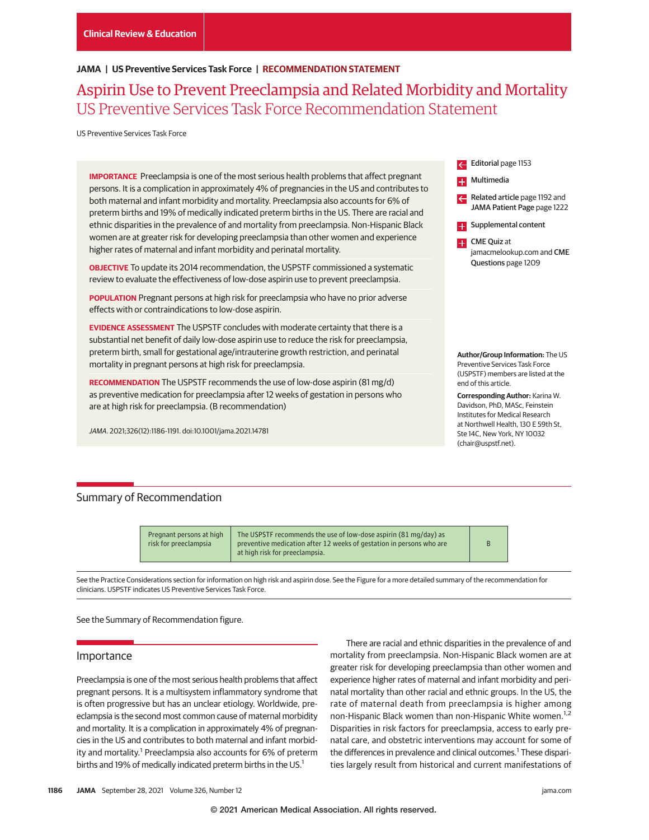## **JAMA | US Preventive Services Task Force | RECOMMENDATION STATEMENT**

Aspirin Use to Prevent Preeclampsia and Related Morbidity and Mortality US Preventive Services Task Force Recommendation Statement

US Preventive Services Task Force

**IMPORTANCE** Preeclampsia is one of the most serious health problems that affect pregnant persons. It is a complication in approximately 4% of pregnancies in the US and contributes to both maternal and infant morbidity and mortality. Preeclampsia also accounts for 6% of preterm births and 19% of medically indicated preterm births in the US. There are racial and ethnic disparities in the prevalence of and mortality from preeclampsia. Non-Hispanic Black women are at greater risk for developing preeclampsia than other women and experience higher rates of maternal and infant morbidity and perinatal mortality.

**OBJECTIVE** To update its 2014 recommendation, the USPSTF commissioned a systematic review to evaluate the effectiveness of low-dose aspirin use to prevent preeclampsia.

**POPULATION** Pregnant persons at high risk for preeclampsia who have no prior adverse effects with or contraindications to low-dose aspirin.

**EVIDENCE ASSESSMENT** The USPSTF concludes with moderate certainty that there is a substantial net benefit of daily low-dose aspirin use to reduce the risk for preeclampsia, preterm birth, small for gestational age/intrauterine growth restriction, and perinatal mortality in pregnant persons at high risk for preeclampsia.

**RECOMMENDATION** The USPSTF recommends the use of low-dose aspirin (81 mg/d) as preventive medication for preeclampsia after 12 weeks of gestation in persons who are at high risk for preeclampsia. (B recommendation)

*JAMA*. 2021;326(12):1186-1191. doi:10.1001/jama.2021.14781

# Editorial page 1153 **R**Multimedia Related article page 1192 and JAMA Patient Page page 1222 **Examplemental content**

**CME Quiz at** jamacmelookup.com and CME Questions page 1209

**Author/Group Information:** The US Preventive Services Task Force (USPSTF) members are listed at the end of this article.

**Corresponding Author:** Karina W. Davidson, PhD, MASc, Feinstein Institutes for Medical Research at Northwell Health, 130 F 59th St Ste 14C, New York, NY 10032 (chair@uspstf.net).

# Summary of Recommendation

Pregnant persons at high risk for preeclampsia The USPSTF recommends the use of low-dose aspirin (81 mg/day) as preventive medication after 12 weeks of gestation in persons who are at high risk for preeclampsia.

B

See the Practice Considerations section for information on high risk and aspirin dose. See the Figure for a more detailed summary of the recommendation for clinicians. USPSTF indicates US Preventive Services Task Force.

See the Summary of Recommendation figure.

### Importance

Preeclampsia is one of the most serious health problems that affect pregnant persons. It is a multisystem inflammatory syndrome that is often progressive but has an unclear etiology. Worldwide, preeclampsia is the second most common cause of maternal morbidity and mortality. It is a complication in approximately 4% of pregnancies in the US and contributes to both maternal and infant morbidity and mortality.<sup>1</sup> Preeclampsia also accounts for 6% of preterm births and 19% of medically indicated preterm births in the US.<sup>1</sup>

There are racial and ethnic disparities in the prevalence of and mortality from preeclampsia. Non-Hispanic Black women are at greater risk for developing preeclampsia than other women and experience higher rates of maternal and infant morbidity and perinatal mortality than other racial and ethnic groups. In the US, the rate of maternal death from preeclampsia is higher among non-Hispanic Black women than non-Hispanic White women.<sup>1,2</sup> Disparities in risk factors for preeclampsia, access to early prenatal care, and obstetric interventions may account for some of the differences in prevalence and clinical outcomes.<sup>1</sup> These disparities largely result from historical and current manifestations of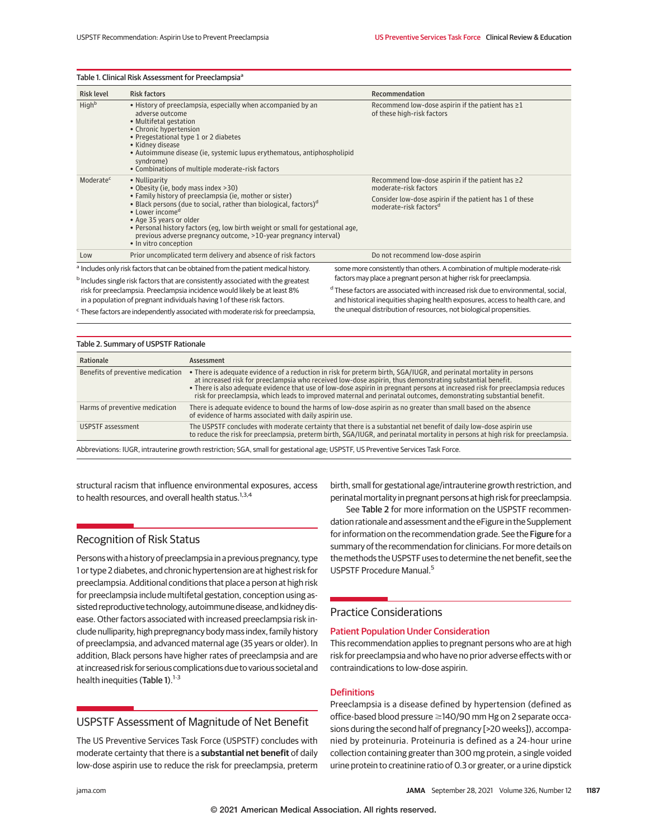| Table 1. Clinical Risk Assessment for Preeclampsia <sup>a</sup>                                                                                                                                                                                                                                                                                        |                                                                                                                                                                                                                                                                                                                                                                                                                                           |                                                                                                                                                                                                                                                                                                                                      |  |
|--------------------------------------------------------------------------------------------------------------------------------------------------------------------------------------------------------------------------------------------------------------------------------------------------------------------------------------------------------|-------------------------------------------------------------------------------------------------------------------------------------------------------------------------------------------------------------------------------------------------------------------------------------------------------------------------------------------------------------------------------------------------------------------------------------------|--------------------------------------------------------------------------------------------------------------------------------------------------------------------------------------------------------------------------------------------------------------------------------------------------------------------------------------|--|
| <b>Risk level</b>                                                                                                                                                                                                                                                                                                                                      | <b>Risk factors</b>                                                                                                                                                                                                                                                                                                                                                                                                                       | Recommendation                                                                                                                                                                                                                                                                                                                       |  |
| Highb                                                                                                                                                                                                                                                                                                                                                  | • History of preeclampsia, especially when accompanied by an<br>adverse outcome<br>• Multifetal gestation<br>• Chronic hypertension<br>• Pregestational type 1 or 2 diabetes<br>• Kidney disease<br>• Autoimmune disease (ie, systemic lupus erythematous, antiphospholipid<br>syndrome)<br>• Combinations of multiple moderate-risk factors                                                                                              | Recommend low-dose aspirin if the patient has $\geq 1$<br>of these high-risk factors                                                                                                                                                                                                                                                 |  |
| Moderate <sup>c</sup>                                                                                                                                                                                                                                                                                                                                  | • Nulliparity<br>• Obesity (ie, body mass index >30)<br>• Family history of preeclampsia (ie, mother or sister)<br>• Black persons (due to social, rather than biological, factors) <sup>d</sup><br>• Lower income <sup>d</sup><br>• Age 35 years or older<br>• Personal history factors (eq. low birth weight or small for gestational age,<br>previous adverse pregnancy outcome, >10-year pregnancy interval)<br>• In vitro conception | Recommend low-dose aspirin if the patient has $\geq$ 2<br>moderate-risk factors<br>Consider low-dose aspirin if the patient has 1 of these<br>moderate-risk factors <sup>d</sup>                                                                                                                                                     |  |
| Low                                                                                                                                                                                                                                                                                                                                                    | Prior uncomplicated term delivery and absence of risk factors                                                                                                                                                                                                                                                                                                                                                                             | Do not recommend low-dose aspirin                                                                                                                                                                                                                                                                                                    |  |
| <sup>a</sup> Includes only risk factors that can be obtained from the patient medical history.<br><sup>b</sup> Includes single risk factors that are consistently associated with the greatest<br>risk for preeclampsia. Preeclampsia incidence would likely be at least 8%<br>in a population of pregnant individuals having 1 of these risk factors. |                                                                                                                                                                                                                                                                                                                                                                                                                                           | some more consistently than others. A combination of multiple moderate-risk<br>factors may place a pregnant person at higher risk for preeclampsia.<br><sup>d</sup> These factors are associated with increased risk due to environmental, social,<br>and historical inequities shaping health exposures, access to health care, and |  |
|                                                                                                                                                                                                                                                                                                                                                        | <sup>C</sup> These factors are independently associated with moderate risk for preeclampsia                                                                                                                                                                                                                                                                                                                                               | the unequal distribution of resources, not biological propensities.                                                                                                                                                                                                                                                                  |  |

<sup>c</sup> These factors are independently associated with moderate risk for preeclampsia,

| Table 2. Summary of USPSTF Rationale                                                                                               |                                                                                                                                                                                                                                                                                                                                                                                                                                                                                         |  |  |
|------------------------------------------------------------------------------------------------------------------------------------|-----------------------------------------------------------------------------------------------------------------------------------------------------------------------------------------------------------------------------------------------------------------------------------------------------------------------------------------------------------------------------------------------------------------------------------------------------------------------------------------|--|--|
| Rationale                                                                                                                          | Assessment                                                                                                                                                                                                                                                                                                                                                                                                                                                                              |  |  |
| Benefits of preventive medication                                                                                                  | • There is adequate evidence of a reduction in risk for preterm birth, SGA/IUGR, and perinatal mortality in persons<br>at increased risk for preeclampsia who received low-dose aspirin, thus demonstrating substantial benefit.<br>• There is also adequate evidence that use of low-dose aspirin in pregnant persons at increased risk for preeclampsia reduces<br>risk for preeclampsia, which leads to improved maternal and perinatal outcomes, demonstrating substantial benefit. |  |  |
| Harms of preventive medication                                                                                                     | There is adequate evidence to bound the harms of low-dose aspirin as no greater than small based on the absence<br>of evidence of harms associated with daily aspirin use.                                                                                                                                                                                                                                                                                                              |  |  |
| USPSTF assessment                                                                                                                  | The USPSTF concludes with moderate certainty that there is a substantial net benefit of daily low-dose aspirin use<br>to reduce the risk for preeclampsia, preterm birth, SGA/IUGR, and perinatal mortality in persons at high risk for preeclampsia.                                                                                                                                                                                                                                   |  |  |
| Abbreviations: ILIGR, intrauterine growth restriction: SGA, small for gestational age: LISPSTE, LIS Preventive Services Task Force |                                                                                                                                                                                                                                                                                                                                                                                                                                                                                         |  |  |

s: IUGR, intrauterine growth restriction; SGA, small for gestational age; USPSTF, US Preventive Services Task Force.

structural racism that influence environmental exposures, access to health resources, and overall health status.<sup>1,3,4</sup>

# Recognition of Risk Status

Persons with a history of preeclampsia in a previous pregnancy, type 1 or type 2 diabetes, and chronic hypertension are at highest risk for preeclampsia. Additional conditions that place a person at high risk for preeclampsia include multifetal gestation, conception using assisted reproductive technology, autoimmune disease, and kidney disease. Other factors associated with increased preeclampsia risk include nulliparity, high prepregnancy bodymass index, family history of preeclampsia, and advanced maternal age (35 years or older). In addition, Black persons have higher rates of preeclampsia and are at increased risk for serious complications due to various societal and health inequities (Table 1). $1-3$ 

# USPSTF Assessment of Magnitude of Net Benefit

The US Preventive Services Task Force (USPSTF) concludes with moderate certainty that there is a **substantial net benefit** of daily low-dose aspirin use to reduce the risk for preeclampsia, preterm birth, small for gestational age/intrauterine growth restriction, and perinatalmortality in pregnant persons at high risk for preeclampsia.

See Table 2 for more information on the USPSTF recommendation rationale and assessment and the eFigure in the Supplement for information on the recommendation grade. See the Figure for a summary of the recommendation for clinicians. For more details on the methods the USPSTF uses to determine the net benefit, see the USPSTF Procedure Manual.<sup>5</sup>

# Practice Considerations

#### Patient Population Under Consideration

This recommendation applies to pregnant persons who are at high risk for preeclampsia and who have no prior adverse effects with or contraindications to low-dose aspirin.

### **Definitions**

Preeclampsia is a disease defined by hypertension (defined as office-based blood pressure ≥140/90 mm Hg on 2 separate occasions during the second half of pregnancy [>20 weeks]), accompanied by proteinuria. Proteinuria is defined as a 24-hour urine collection containing greater than 300 mg protein, a single voided urine protein to creatinine ratio of 0.3 or greater, or a urine dipstick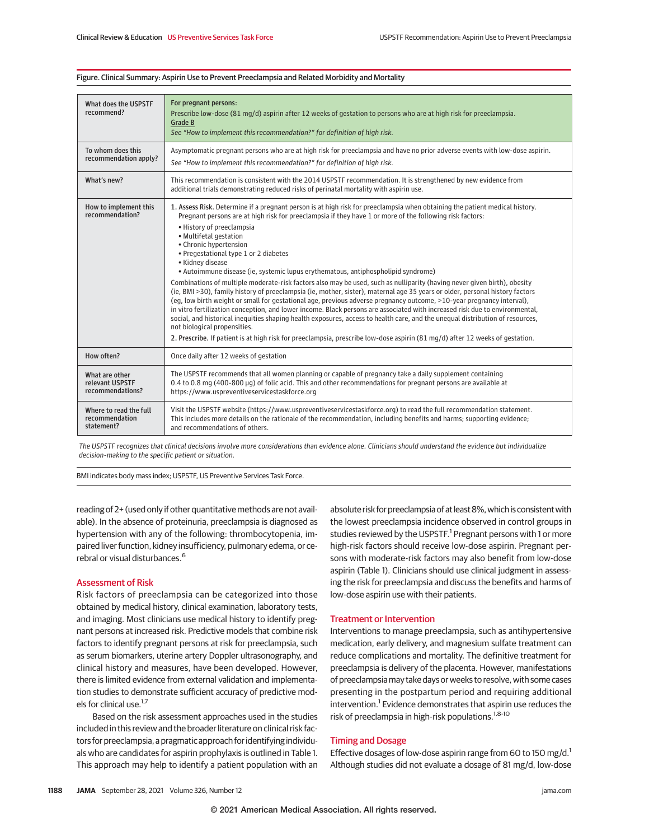| What does the USPSTF<br>recommend?                     | For pregnant persons:<br>Prescribe low-dose (81 mg/d) aspirin after 12 weeks of gestation to persons who are at high risk for preeclampsia.<br><b>Grade B</b><br>See "How to implement this recommendation?" for definition of high risk.                                                                                                                                                                                                                                                                                                                                                                                                                                                                                                                                                                                                                                                                                                                                                                                                                                                                                                                                                                                                                                                       |
|--------------------------------------------------------|-------------------------------------------------------------------------------------------------------------------------------------------------------------------------------------------------------------------------------------------------------------------------------------------------------------------------------------------------------------------------------------------------------------------------------------------------------------------------------------------------------------------------------------------------------------------------------------------------------------------------------------------------------------------------------------------------------------------------------------------------------------------------------------------------------------------------------------------------------------------------------------------------------------------------------------------------------------------------------------------------------------------------------------------------------------------------------------------------------------------------------------------------------------------------------------------------------------------------------------------------------------------------------------------------|
| To whom does this<br>recommendation apply?             | Asymptomatic pregnant persons who are at high risk for preeclampsia and have no prior adverse events with low-dose aspirin.<br>See "How to implement this recommendation?" for definition of high risk.                                                                                                                                                                                                                                                                                                                                                                                                                                                                                                                                                                                                                                                                                                                                                                                                                                                                                                                                                                                                                                                                                         |
| What's new?                                            | This recommendation is consistent with the 2014 USPSTF recommendation. It is strengthened by new evidence from<br>additional trials demonstrating reduced risks of perinatal mortality with aspirin use.                                                                                                                                                                                                                                                                                                                                                                                                                                                                                                                                                                                                                                                                                                                                                                                                                                                                                                                                                                                                                                                                                        |
| How to implement this<br>recommendation?               | 1. Assess Risk. Determine if a pregnant person is at high risk for preeclampsia when obtaining the patient medical history.<br>Pregnant persons are at high risk for preeclampsia if they have 1 or more of the following risk factors:<br>• History of preeclampsia<br>• Multifetal gestation<br>• Chronic hypertension<br>• Pregestational type 1 or 2 diabetes<br>• Kidney disease<br>• Autoimmune disease (ie, systemic lupus erythematous, antiphospholipid syndrome)<br>Combinations of multiple moderate-risk factors also may be used, such as nulliparity (having never given birth), obesity<br>(ie, BMI >30), family history of preeclampsia (ie, mother, sister), maternal age 35 years or older, personal history factors<br>(eq. low birth weight or small for gestational age, previous adverse pregnancy outcome, >10-year pregnancy interval),<br>in vitro fertilization conception, and lower income. Black persons are associated with increased risk due to environmental,<br>social, and historical inequities shaping health exposures, access to health care, and the unequal distribution of resources,<br>not biological propensities.<br>2. Prescribe. If patient is at high risk for preeclampsia, prescribe low-dose aspirin (81 mg/d) after 12 weeks of gestation. |
| How often?                                             | Once daily after 12 weeks of gestation                                                                                                                                                                                                                                                                                                                                                                                                                                                                                                                                                                                                                                                                                                                                                                                                                                                                                                                                                                                                                                                                                                                                                                                                                                                          |
| What are other<br>relevant USPSTF<br>recommendations?  | The USPSTF recommends that all women planning or capable of pregnancy take a daily supplement containing<br>0.4 to 0.8 mg (400-800 µg) of folic acid. This and other recommendations for pregnant persons are available at<br>https://www.uspreventiveservicestaskforce.org                                                                                                                                                                                                                                                                                                                                                                                                                                                                                                                                                                                                                                                                                                                                                                                                                                                                                                                                                                                                                     |
| Where to read the full<br>recommendation<br>statement? | Visit the USPSTF website (https://www.uspreventiveservicestaskforce.org) to read the full recommendation statement.<br>This includes more details on the rationale of the recommendation, including benefits and harms; supporting evidence;<br>and recommendations of others.                                                                                                                                                                                                                                                                                                                                                                                                                                                                                                                                                                                                                                                                                                                                                                                                                                                                                                                                                                                                                  |

#### Figure. Clinical Summary: Aspirin Use to Prevent Preeclampsia and Related Morbidity and Mortality

The USPSTF recognizes that clinical decisions involve more considerations than evidence alone. Clinicians should understand the evidence but individualize decision-making to the specific patient or situation.

BMI indicates body mass index; USPSTF, US Preventive Services Task Force.

reading of 2+ (used only if other quantitative methods are not available). In the absence of proteinuria, preeclampsia is diagnosed as hypertension with any of the following: thrombocytopenia, impaired liver function, kidney insufficiency, pulmonary edema, or cerebral or visual disturbances.<sup>6</sup>

### Assessment of Risk

Risk factors of preeclampsia can be categorized into those obtained by medical history, clinical examination, laboratory tests, and imaging. Most clinicians use medical history to identify pregnant persons at increased risk. Predictive models that combine risk factors to identify pregnant persons at risk for preeclampsia, such as serum biomarkers, uterine artery Doppler ultrasonography, and clinical history and measures, have been developed. However, there is limited evidence from external validation and implementation studies to demonstrate sufficient accuracy of predictive models for clinical use.<sup>1,7</sup>

Based on the risk assessment approaches used in the studies included in this review and the broader literature on clinical risk factors for preeclampsia, a pragmatic approach for identifying individuals who are candidates for aspirin prophylaxis is outlined in Table 1. This approach may help to identify a patient population with an absolute risk for preeclampsia of at least 8%, which is consistent with the lowest preeclampsia incidence observed in control groups in studies reviewed by the USPSTF.<sup>1</sup> Pregnant persons with 1 or more high-risk factors should receive low-dose aspirin. Pregnant persons with moderate-risk factors may also benefit from low-dose aspirin (Table 1). Clinicians should use clinical judgment in assessing the risk for preeclampsia and discuss the benefits and harms of low-dose aspirin use with their patients.

### Treatment or Intervention

Interventions to manage preeclampsia, such as antihypertensive medication, early delivery, and magnesium sulfate treatment can reduce complications and mortality. The definitive treatment for preeclampsia is delivery of the placenta. However, manifestations of preeclampsiamay take days or weeks to resolve, with some cases presenting in the postpartum period and requiring additional intervention.<sup>1</sup> Evidence demonstrates that aspirin use reduces the risk of preeclampsia in high-risk populations.<sup>1,8-10</sup>

### Timing and Dosage

Effective dosages of low-dose aspirin range from 60 to 150 mg/d.<sup>1</sup> Although studies did not evaluate a dosage of 81 mg/d, low-dose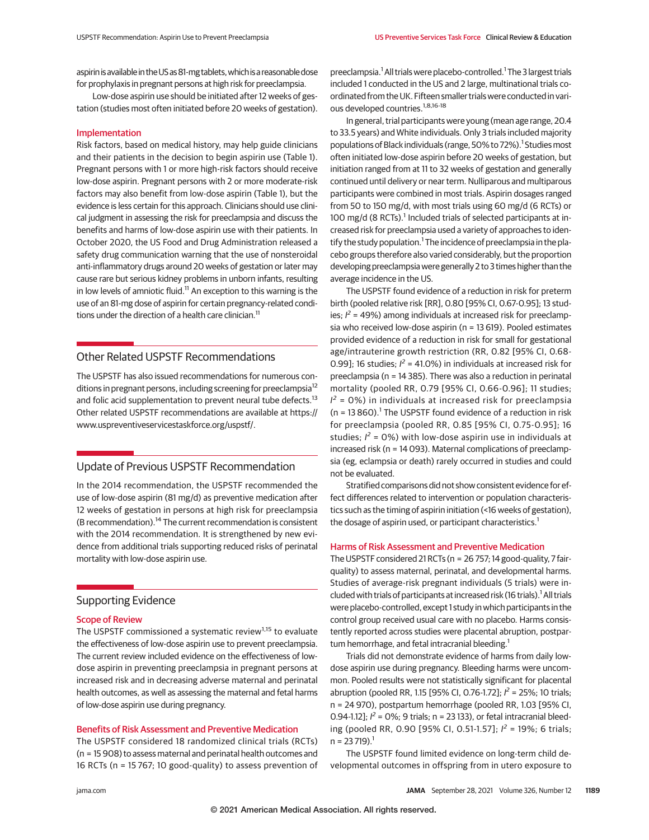aspirin is available in the US as 81-mg tablets, which is a reasonable dose for prophylaxis in pregnant persons at high risk for preeclampsia.

Low-dose aspirin use should be initiated after 12 weeks of gestation (studies most often initiated before 20 weeks of gestation).

#### Implementation

Risk factors, based on medical history, may help guide clinicians and their patients in the decision to begin aspirin use (Table 1). Pregnant persons with 1 or more high-risk factors should receive low-dose aspirin. Pregnant persons with 2 or more moderate-risk factors may also benefit from low-dose aspirin (Table 1), but the evidence is less certain for this approach. Clinicians should use clinical judgment in assessing the risk for preeclampsia and discuss the benefits and harms of low-dose aspirin use with their patients. In October 2020, the US Food and Drug Administration released a safety drug communication warning that the use of nonsteroidal anti-inflammatory drugs around 20 weeks of gestation or later may cause rare but serious kidney problems in unborn infants, resulting in low levels of amniotic fluid.<sup>11</sup> An exception to this warning is the use of an 81-mg dose of aspirin for certain pregnancy-related conditions under the direction of a health care clinician.<sup>11</sup>

## Other Related USPSTF Recommendations

The USPSTF has also issued recommendations for numerous conditions in pregnant persons, including screening for preeclampsia<sup>12</sup> and folic acid supplementation to prevent neural tube defects.<sup>13</sup> Other related USPSTF recommendations are available at https:// www.uspreventiveservicestaskforce.org/uspstf/.

# Update of Previous USPSTF Recommendation

In the 2014 recommendation, the USPSTF recommended the use of low-dose aspirin (81 mg/d) as preventive medication after 12 weeks of gestation in persons at high risk for preeclampsia (B recommendation).<sup>14</sup> The current recommendation is consistent with the 2014 recommendation. It is strengthened by new evidence from additional trials supporting reduced risks of perinatal mortality with low-dose aspirin use.

# Supporting Evidence

### Scope of Review

The USPSTF commissioned a systematic review<sup>1,15</sup> to evaluate the effectiveness of low-dose aspirin use to prevent preeclampsia. The current review included evidence on the effectiveness of lowdose aspirin in preventing preeclampsia in pregnant persons at increased risk and in decreasing adverse maternal and perinatal health outcomes, as well as assessing the maternal and fetal harms of low-dose aspirin use during pregnancy.

### Benefits of Risk Assessment and Preventive Medication

The USPSTF considered 18 randomized clinical trials (RCTs) (n = 15 908) to assess maternal and perinatal health outcomes and 16 RCTs (n = 15 767; 10 good-quality) to assess prevention of

preeclampsia.<sup>1</sup> All trials were placebo-controlled.<sup>1</sup> The 3 largest trials included 1 conducted in the US and 2 large, multinational trials coordinated from the UK. Fifteen smaller trials were conducted in various developed countries.<sup>1,8,16-18</sup>

In general, trial participants were young (mean age range, 20.4 to 33.5 years) and White individuals. Only 3 trials included majority populations of Black individuals (range, 50% to 72%).<sup>1</sup> Studies most often initiated low-dose aspirin before 20 weeks of gestation, but initiation ranged from at 11 to 32 weeks of gestation and generally continued until delivery or near term. Nulliparous and multiparous participants were combined in most trials. Aspirin dosages ranged from 50 to 150 mg/d, with most trials using 60 mg/d (6 RCTs) or 100 mg/d (8 RCTs).<sup>1</sup> Included trials of selected participants at increased risk for preeclampsia used a variety of approaches to identify the study population.<sup>1</sup> The incidence of preeclampsia in the placebo groups therefore also varied considerably, but the proportion developing preeclampsia were generally 2 to 3 times higher than the average incidence in the US.

The USPSTF found evidence of a reduction in risk for preterm birth (pooled relative risk [RR], 0.80 [95% CI, 0.67-0.95]; 13 studies;  $l^2$  = 49%) among individuals at increased risk for preeclampsia who received low-dose aspirin (n = 13 619). Pooled estimates provided evidence of a reduction in risk for small for gestational age/intrauterine growth restriction (RR, 0.82 [95% CI, 0.68- 0.99]; 16 studies;  $l^2$  = 41.0%) in individuals at increased risk for preeclampsia (n = 14 385). There was also a reduction in perinatal mortality (pooled RR, 0.79 [95% CI, 0.66-0.96]; 11 studies;  $I^2$  = 0%) in individuals at increased risk for preeclampsia  $(n = 13 860)$ .<sup>1</sup> The USPSTF found evidence of a reduction in risk for preeclampsia (pooled RR, 0.85 [95% CI, 0.75-0.95]; 16 studies;  $I^2 = O\%$ ) with low-dose aspirin use in individuals at increased risk (n = 14 093). Maternal complications of preeclampsia (eg, eclampsia or death) rarely occurred in studies and could not be evaluated.

Stratified comparisons did not show consistent evidence for effect differences related to intervention or population characteristics such as the timing of aspirin initiation (<16 weeks of gestation), the dosage of aspirin used, or participant characteristics.<sup>1</sup>

#### Harms of Risk Assessment and Preventive Medication

The USPSTF considered 21 RCTs (n = 26 757; 14 good-quality, 7 fairquality) to assess maternal, perinatal, and developmental harms. Studies of average-risk pregnant individuals (5 trials) were included with trials of participants at increased risk (16 trials).<sup>1</sup> All trials were placebo-controlled, except 1 study in which participants in the control group received usual care with no placebo. Harms consistently reported across studies were placental abruption, postpartum hemorrhage, and fetal intracranial bleeding.<sup>1</sup>

Trials did not demonstrate evidence of harms from daily lowdose aspirin use during pregnancy. Bleeding harms were uncommon. Pooled results were not statistically significant for placental abruption (pooled RR, 1.15 [95% CI, 0.76-1.72]; *I 2* = 25%; 10 trials; n = 24 970), postpartum hemorrhage (pooled RR, 1.03 [95% CI, 0.94-1.12];  $l^2$  = 0%; 9 trials; n = 23 133), or fetal intracranial bleeding (pooled RR, 0.90 [95% CI, 0.51-1.57]; *I 2* = 19%; 6 trials;  $n = 23719$ .

The USPSTF found limited evidence on long-term child developmental outcomes in offspring from in utero exposure to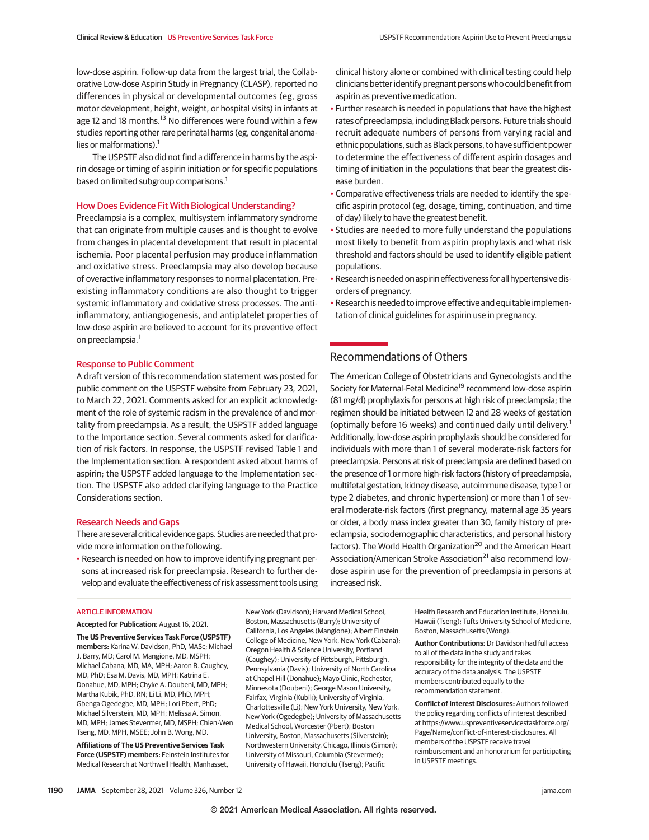low-dose aspirin. Follow-up data from the largest trial, the Collaborative Low-dose Aspirin Study in Pregnancy (CLASP), reported no differences in physical or developmental outcomes (eg, gross motor development, height, weight, or hospital visits) in infants at age 12 and 18 months.<sup>13</sup> No differences were found within a few studies reporting other rare perinatal harms (eg, congenital anomalies or malformations). $<sup>1</sup>$ </sup>

The USPSTF also did not find a difference in harms by the aspirin dosage or timing of aspirin initiation or for specific populations based on limited subgroup comparisons.<sup>1</sup>

#### How Does Evidence Fit With Biological Understanding?

Preeclampsia is a complex, multisystem inflammatory syndrome that can originate from multiple causes and is thought to evolve from changes in placental development that result in placental ischemia. Poor placental perfusion may produce inflammation and oxidative stress. Preeclampsia may also develop because of overactive inflammatory responses to normal placentation. Preexisting inflammatory conditions are also thought to trigger systemic inflammatory and oxidative stress processes. The antiinflammatory, antiangiogenesis, and antiplatelet properties of low-dose aspirin are believed to account for its preventive effect on preeclampsia.<sup>1</sup>

#### Response to Public Comment

A draft version of this recommendation statement was posted for public comment on the USPSTF website from February 23, 2021, to March 22, 2021. Comments asked for an explicit acknowledgment of the role of systemic racism in the prevalence of and mortality from preeclampsia. As a result, the USPSTF added language to the Importance section. Several comments asked for clarification of risk factors. In response, the USPSTF revised Table 1 and the Implementation section. A respondent asked about harms of aspirin; the USPSTF added language to the Implementation section. The USPSTF also added clarifying language to the Practice Considerations section.

#### Research Needs and Gaps

There are several critical evidence gaps. Studies are needed that provide more information on the following.

• Research is needed on how to improve identifying pregnant persons at increased risk for preeclampsia. Research to further develop and evaluate the effectiveness of risk assessment tools using clinical history alone or combined with clinical testing could help clinicians better identify pregnant persons who could benefit from aspirin as preventive medication.

- Further research is needed in populations that have the highest rates of preeclampsia, including Black persons. Future trials should recruit adequate numbers of persons from varying racial and ethnic populations, such as Black persons, to have sufficient power to determine the effectiveness of different aspirin dosages and timing of initiation in the populations that bear the greatest disease burden.
- Comparative effectiveness trials are needed to identify the specific aspirin protocol (eg, dosage, timing, continuation, and time of day) likely to have the greatest benefit.
- Studies are needed to more fully understand the populations most likely to benefit from aspirin prophylaxis and what risk threshold and factors should be used to identify eligible patient populations.
- Research is needed on aspirineffectiveness for all hypertensive disorders of pregnancy.
- Research is needed to improve effective and equitable implementation of clinical guidelines for aspirin use in pregnancy.

### Recommendations of Others

The American College of Obstetricians and Gynecologists and the Society for Maternal-Fetal Medicine<sup>19</sup> recommend low-dose aspirin (81 mg/d) prophylaxis for persons at high risk of preeclampsia; the regimen should be initiated between 12 and 28 weeks of gestation (optimally before 16 weeks) and continued daily until delivery.<sup>1</sup> Additionally, low-dose aspirin prophylaxis should be considered for individuals with more than 1 of several moderate-risk factors for preeclampsia. Persons at risk of preeclampsia are defined based on the presence of 1 or more high-risk factors (history of preeclampsia, multifetal gestation, kidney disease, autoimmune disease, type 1 or type 2 diabetes, and chronic hypertension) or more than 1 of several moderate-risk factors (first pregnancy, maternal age 35 years or older, a body mass index greater than 30, family history of preeclampsia, sociodemographic characteristics, and personal history factors). The World Health Organization<sup>20</sup> and the American Heart Association/American Stroke Association<sup>21</sup> also recommend lowdose aspirin use for the prevention of preeclampsia in persons at increased risk.

#### **ARTICLE INFORMATION**

**Accepted for Publication:** August 16, 2021.

**The US Preventive Services Task Force (USPSTF) members:** Karina W. Davidson, PhD, MASc; Michael J. Barry, MD; Carol M. Mangione, MD, MSPH; Michael Cabana, MD, MA, MPH; Aaron B. Caughey, MD, PhD; Esa M. Davis, MD, MPH; Katrina E. Donahue, MD, MPH; Chyke A. Doubeni, MD, MPH; Martha Kubik, PhD, RN; Li Li, MD, PhD, MPH; Gbenga Ogedegbe, MD, MPH; Lori Pbert, PhD; Michael Silverstein, MD, MPH; Melissa A. Simon, MD, MPH; James Stevermer, MD, MSPH; Chien-Wen Tseng, MD, MPH, MSEE; John B. Wong, MD.

**Affiliations of The US Preventive Services Task Force (USPSTF) members:** Feinstein Institutes for Medical Research at Northwell Health, Manhasset, New York (Davidson); Harvard Medical School, Boston, Massachusetts (Barry); University of California, Los Angeles (Mangione); Albert Einstein College of Medicine, New York, New York (Cabana); Oregon Health & Science University, Portland (Caughey); University of Pittsburgh, Pittsburgh, Pennsylvania (Davis); University of North Carolina at Chapel Hill (Donahue); Mayo Clinic, Rochester, Minnesota (Doubeni); George Mason University, Fairfax, Virginia (Kubik); University of Virginia, Charlottesville (Li); New York University, New York, New York (Ogedegbe); University of Massachusetts Medical School, Worcester (Pbert); Boston University, Boston, Massachusetts (Silverstein); Northwestern University, Chicago, Illinois (Simon); University of Missouri, Columbia (Stevermer); University of Hawaii, Honolulu (Tseng); Pacific

Health Research and Education Institute, Honolulu, Hawaii (Tseng); Tufts University School of Medicine, Boston, Massachusetts (Wong).

**Author Contributions:** Dr Davidson had full access to all of the data in the study and takes responsibility for the integrity of the data and the accuracy of the data analysis. The USPSTF members contributed equally to the recommendation statement.

**Conflict of Interest Disclosures:** Authors followed the policy regarding conflicts of interest described at https://www.uspreventiveservicestaskforce.org/ Page/Name/conflict-of-interest-disclosures. All members of the USPSTF receive travel reimbursement and an honorarium for participating in USPSTF meetings.